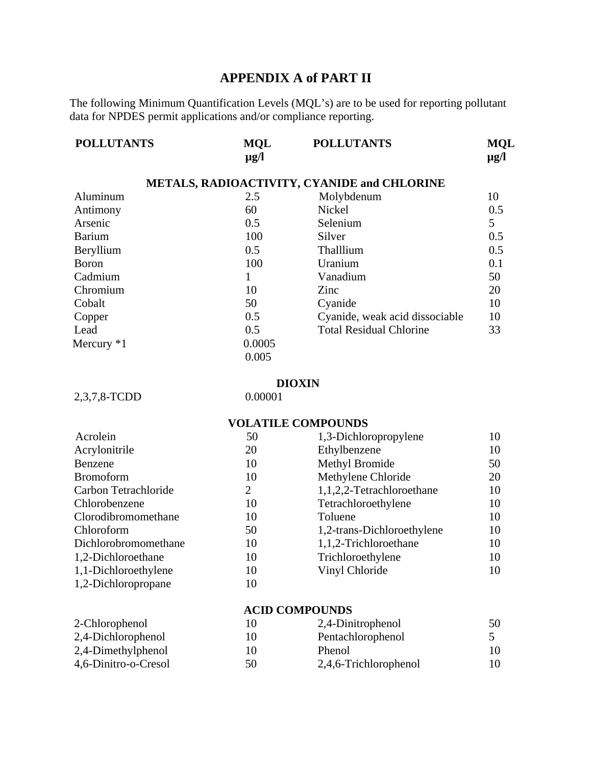## **APPENDIX A of PART II**

The following Minimum Quantification Levels (MQL's) are to be used for reporting pollutant data for NPDES permit applications and/or compliance reporting.

| <b>POLLUTANTS</b> | <b>MQL</b><br>$\mu$ g/l | <b>POLLUTANTS</b>                                  | <b>MQL</b><br>$\mu$ g/l |
|-------------------|-------------------------|----------------------------------------------------|-------------------------|
|                   |                         | <b>METALS, RADIOACTIVITY, CYANIDE and CHLORINE</b> |                         |
| Aluminum          | 2.5                     | Molybdenum                                         | 10                      |
| Antimony          | 60                      | Nickel                                             | 0.5                     |
| Arsenic           | 0.5                     | Selenium                                           | 5                       |
| <b>Barium</b>     | 100                     | Silver                                             | 0.5                     |
| Beryllium         | 0.5                     | Thalllium                                          | 0.5                     |
| Boron             | 100                     | Uranium                                            | 0.1                     |
| Cadmium           |                         | Vanadium                                           | 50                      |
| Chromium          | 10                      | Zinc                                               | 20                      |
| Cobalt            | 50                      | Cyanide                                            | 10                      |
| Copper            | 0.5                     | Cyanide, weak acid dissociable                     | 10                      |
| Lead              | 0.5                     | <b>Total Residual Chlorine</b>                     | 33                      |
| Mercury $*1$      | 0.0005                  |                                                    |                         |
|                   | 0.005                   |                                                    |                         |

# **DIOXIN** 0.00001

 $2,3,7,8$ -TCDD

### **VOLATILE COMPOUNDS**

| Acrolein             | 50 | 1,3-Dichloropropylene      | 10 |
|----------------------|----|----------------------------|----|
| Acrylonitrile        | 20 | Ethylbenzene               | 10 |
| Benzene              | 10 | Methyl Bromide             | 50 |
| <b>Bromoform</b>     | 10 | Methylene Chloride         | 20 |
| Carbon Tetrachloride | 2  | 1,1,2,2-Tetrachloroethane  | 10 |
| Chlorobenzene        | 10 | Tetrachloroethylene        | 10 |
| Clorodibromomethane  | 10 | Toluene                    | 10 |
| Chloroform           | 50 | 1,2-trans-Dichloroethylene | 10 |
| Dichlorobromomethane | 10 | 1,1,2-Trichloroethane      | 10 |
| 1,2-Dichloroethane   | 10 | Trichloroethylene          | 10 |
| 1,1-Dichloroethylene | 10 | Vinyl Chloride             | 10 |
| 1,2-Dichloropropane  | 10 |                            |    |
|                      |    |                            |    |

#### **ACID COMPOUNDS**

| 2-Chlorophenol       | 10 | 2,4-Dinitrophenol     | 50  |
|----------------------|----|-----------------------|-----|
| 2,4-Dichlorophenol   | 10 | Pentachlorophenol     |     |
| 2,4-Dimethylphenol   | 10 | Phenol                | 10. |
| 4,6-Dinitro-o-Cresol | 50 | 2,4,6-Trichlorophenol | 10  |